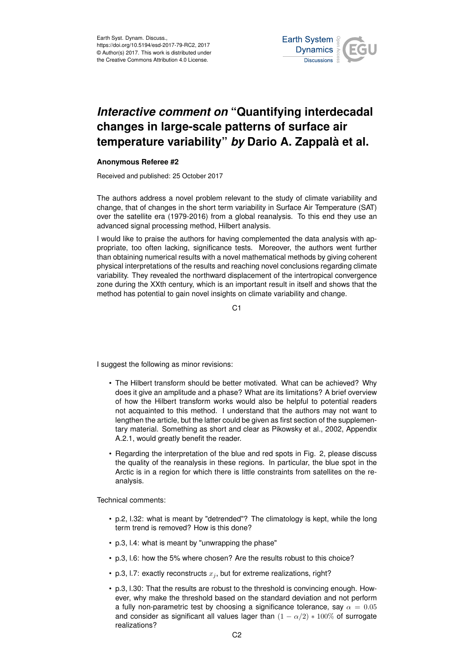

## *Interactive comment on* **"Quantifying interdecadal changes in large-scale patterns of surface air temperature variability"** *by* **Dario A. Zappalà et al.**

## **Anonymous Referee #2**

Received and published: 25 October 2017

The authors address a novel problem relevant to the study of climate variability and change, that of changes in the short term variability in Surface Air Temperature (SAT) over the satellite era (1979-2016) from a global reanalysis. To this end they use an advanced signal processing method, Hilbert analysis.

I would like to praise the authors for having complemented the data analysis with appropriate, too often lacking, significance tests. Moreover, the authors went further than obtaining numerical results with a novel mathematical methods by giving coherent physical interpretations of the results and reaching novel conclusions regarding climate variability. They revealed the northward displacement of the intertropical convergence zone during the XXth century, which is an important result in itself and shows that the method has potential to gain novel insights on climate variability and change.

C1

I suggest the following as minor revisions:

- The Hilbert transform should be better motivated. What can be achieved? Why does it give an amplitude and a phase? What are its limitations? A brief overview of how the Hilbert transform works would also be helpful to potential readers not acquainted to this method. I understand that the authors may not want to lengthen the article, but the latter could be given as first section of the supplementary material. Something as short and clear as Pikowsky et al., 2002, Appendix A.2.1, would greatly benefit the reader.
- Regarding the interpretation of the blue and red spots in Fig. 2, please discuss the quality of the reanalysis in these regions. In particular, the blue spot in the Arctic is in a region for which there is little constraints from satellites on the reanalysis.

Technical comments:

- p.2, l.32: what is meant by "detrended"? The climatology is kept, while the long term trend is removed? How is this done?
- p.3, l.4: what is meant by "unwrapping the phase"
- p.3, l.6: how the 5% where chosen? Are the results robust to this choice?
- p.3, I.7: exactly reconstructs  $x_i$ , but for extreme realizations, right?
- p.3, l.30: That the results are robust to the threshold is convincing enough. However, why make the threshold based on the standard deviation and not perform a fully non-parametric test by choosing a significance tolerance, say  $\alpha = 0.05$ and consider as significant all values lager than  $(1 - \alpha/2) * 100\%$  of surrogate realizations?